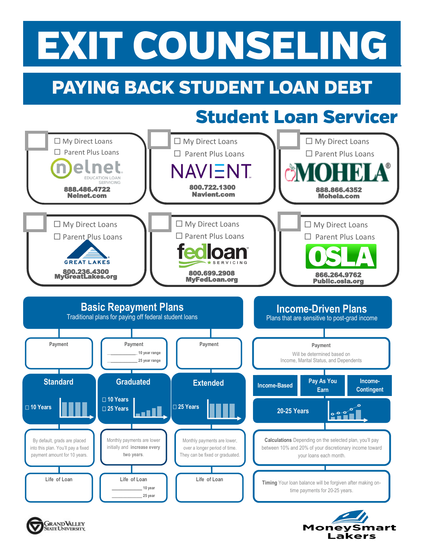## EXIT COUNSELING

## **PAYING BACK STUDENT LOAN DEBT**

### **Student Loan Servicer**

**Money** 

Smart

Lakers